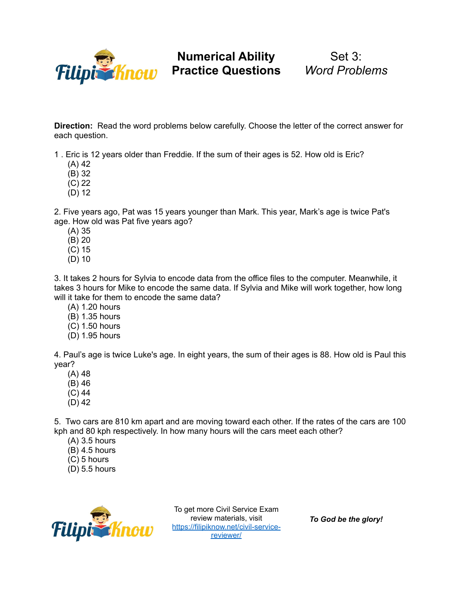

Set 3: *Word Problems*

**Direction:** Read the word problems below carefully. Choose the letter of the correct answer for each question.

1 . Eric is 12 years older than Freddie. If the sum of their ages is 52. How old is Eric?

(A) 42

(B) 32

- (C) 22
- (D) 12

2. Five years ago, Pat was 15 years younger than Mark. This year, Mark's age is twice Pat's age. How old was Pat five years ago?

- (A) 35
- (B) 20
- (C) 15
- (D) 10

3. It takes 2 hours for Sylvia to encode data from the office files to the computer. Meanwhile, it takes 3 hours for Mike to encode the same data. If Sylvia and Mike will work together, how long will it take for them to encode the same data?

- (A) 1.20 hours
- (B) 1.35 hours
- (C) 1.50 hours
- (D) 1.95 hours

4. Paul's age is twice Luke's age. In eight years, the sum of their ages is 88. How old is Paul this year?

- (A) 48
- (B) 46
- (C) 44
- (D) 42

5. Two cars are 810 km apart and are moving toward each other. If the rates of the cars are 100 kph and 80 kph respectively. In how many hours will the cars meet each other?

- (A) 3.5 hours
- $(B)$  4.5 hours
- (C) 5 hours
- (D) 5.5 hours



To get more Civil Service Exam review materials, visit [https://filipiknow.net/civil-service](https://filipiknow.net/civil-service-reviewer/)[reviewer/](https://filipiknow.net/civil-service-reviewer/)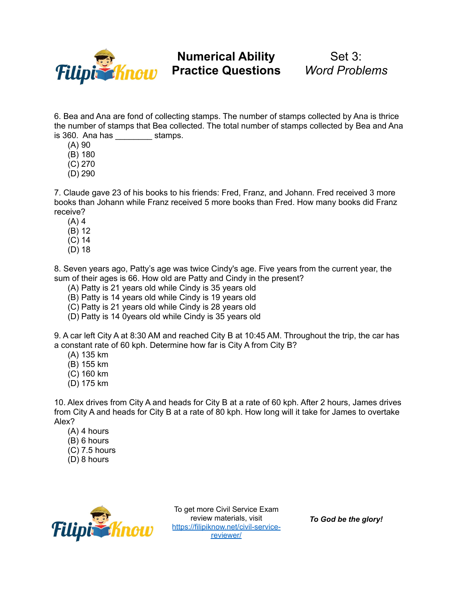

## Set 3: *Word Problems*

6. Bea and Ana are fond of collecting stamps. The number of stamps collected by Ana is thrice the number of stamps that Bea collected. The total number of stamps collected by Bea and Ana is 360. Ana has \_\_\_\_\_\_\_\_ stamps.

- (A) 90
- (B) 180
- (C) 270
- (D) 290

7. Claude gave 23 of his books to his friends: Fred, Franz, and Johann. Fred received 3 more books than Johann while Franz received 5 more books than Fred. How many books did Franz receive?

- $(A)$  4
- (B) 12
- (C) 14
- (D) 18

8. Seven years ago, Patty's age was twice Cindy's age. Five years from the current year, the sum of their ages is 66. How old are Patty and Cindy in the present?

- (A) Patty is 21 years old while Cindy is 35 years old
- (B) Patty is 14 years old while Cindy is 19 years old
- (C) Patty is 21 years old while Cindy is 28 years old
- (D) Patty is 14 0years old while Cindy is 35 years old

9. A car left City A at 8:30 AM and reached City B at 10:45 AM. Throughout the trip, the car has a constant rate of 60 kph. Determine how far is City A from City B?

- (A) 135 km
- (B) 155 km
- (C) 160 km
- (D) 175 km

10. Alex drives from City A and heads for City B at a rate of 60 kph. After 2 hours, James drives from City A and heads for City B at a rate of 80 kph. How long will it take for James to overtake Alex?

- (A) 4 hours
- (B) 6 hours
- (C) 7.5 hours
- (D) 8 hours



To get more Civil Service Exam review materials, visit [https://filipiknow.net/civil-service](https://filipiknow.net/civil-service-reviewer/)[reviewer/](https://filipiknow.net/civil-service-reviewer/)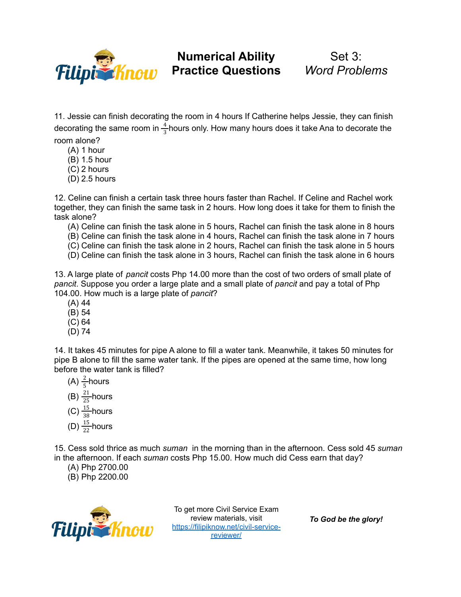

Set 3: *Word Problems*

11. Jessie can finish decorating the room in 4 hours If Catherine helps Jessie, they can finish decorating the same room in  $\frac{4}{2}$ hours only. How many hours does it take Ana to decorate the 3 room alone?

- (A) 1 hour
- (B) 1.5 hour
- (C) 2 hours
- (D) 2.5 hours

12. Celine can finish a certain task three hours faster than Rachel. If Celine and Rachel work together, they can finish the same task in 2 hours. How long does it take for them to finish the task alone?

- (A) Celine can finish the task alone in 5 hours, Rachel can finish the task alone in 8 hours
- (B) Celine can finish the task alone in 4 hours, Rachel can finish the task alone in 7 hours
- (C) Celine can finish the task alone in 2 hours, Rachel can finish the task alone in 5 hours
- (D) Celine can finish the task alone in 3 hours, Rachel can finish the task alone in 6 hours

13. A large plate of *pancit* costs Php 14.00 more than the cost of two orders of small plate of *pancit*. Suppose you order a large plate and a small plate of *pancit* and pay a total of Php 104.00. How much is a large plate of *pancit*?

- (A) 44
- (B) 54
- (C) 64
- (D) 74

14. It takes 45 minutes for pipe A alone to fill a water tank. Meanwhile, it takes 50 minutes for pipe B alone to fill the same water tank. If the pipes are opened at the same time, how long before the water tank is filled?

- (A)  $\frac{2}{5}$ hours 5
- (B)  $\frac{21}{25}$  hours 25
- (C)  $\frac{15}{29}$  hours
- 38 (D)  $\frac{15}{22}$  hours 22

15. Cess sold thrice as much *suman* in the morning than in the afternoon. Cess sold 45 *suman* in the afternoon. If each *suman* costs Php 15.00. How much did Cess earn that day?

- (A) Php 2700.00
- (B) Php 2200.00



To get more Civil Service Exam review materials, visit [https://filipiknow.net/civil-service](https://filipiknow.net/civil-service-reviewer/)[reviewer/](https://filipiknow.net/civil-service-reviewer/)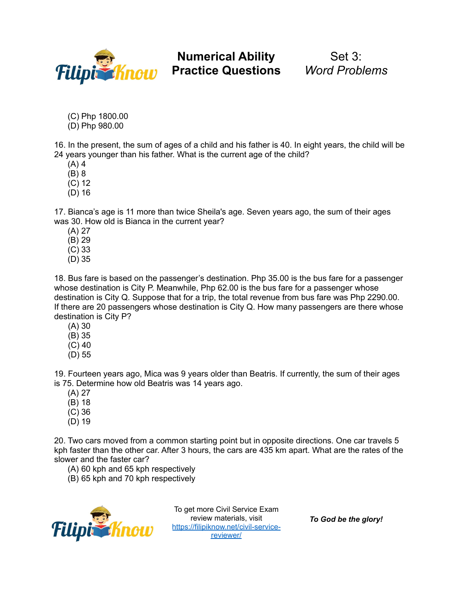

Set 3: *Word Problems*

(C) Php 1800.00

(D) Php 980.00

16. In the present, the sum of ages of a child and his father is 40. In eight years, the child will be 24 years younger than his father. What is the current age of the child?

(A) 4

(B) 8

- (C) 12
- (D) 16

17. Bianca's age is 11 more than twice Sheila's age. Seven years ago, the sum of their ages was 30. How old is Bianca in the current year?

- (A) 27
- (B) 29
- (C) 33
- (D) 35

18. Bus fare is based on the passenger's destination. Php 35.00 is the bus fare for a passenger whose destination is City P. Meanwhile, Php 62.00 is the bus fare for a passenger whose destination is City Q. Suppose that for a trip, the total revenue from bus fare was Php 2290.00. If there are 20 passengers whose destination is City Q. How many passengers are there whose destination is City P?

- (A) 30
- (B) 35
- (C) 40
- (D) 55

19. Fourteen years ago, Mica was 9 years older than Beatris. If currently, the sum of their ages is 75. Determine how old Beatris was 14 years ago.

- (A) 27
- (B) 18
- (C) 36
- (D) 19

20. Two cars moved from a common starting point but in opposite directions. One car travels 5 kph faster than the other car. After 3 hours, the cars are 435 km apart. What are the rates of the slower and the faster car?

(A) 60 kph and 65 kph respectively

(B) 65 kph and 70 kph respectively



To get more Civil Service Exam review materials, visit review materials, visit<br>[https://filipiknow.net/civil-service](https://filipiknow.net/civil-service-reviewer/)[reviewer/](https://filipiknow.net/civil-service-reviewer/)